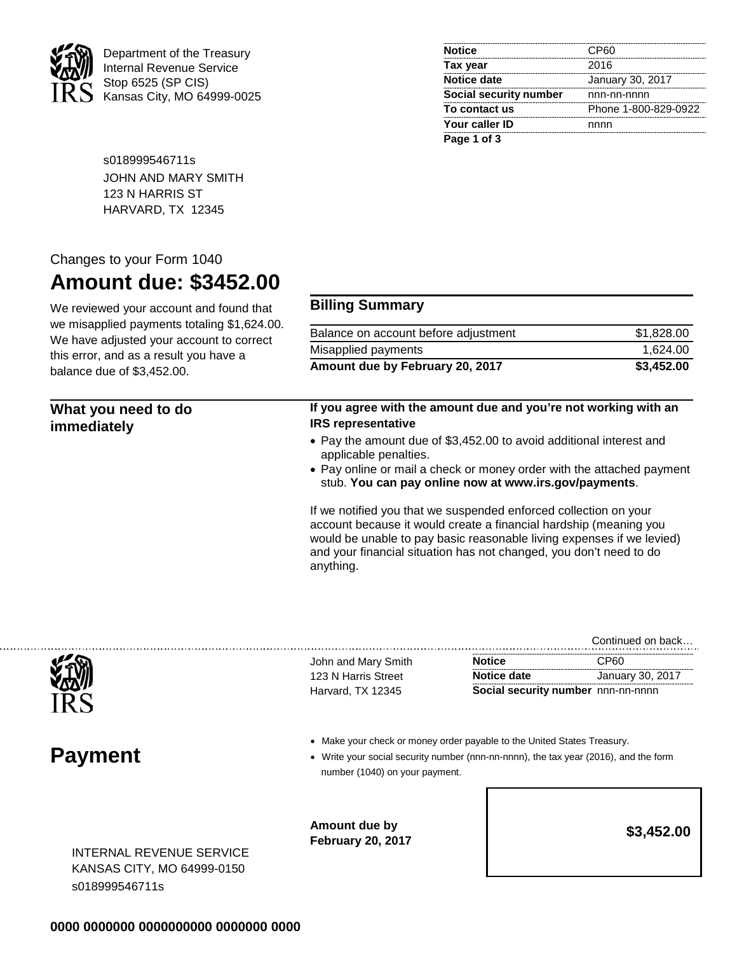

. . . . . . . . . . .

Department of the Treasury Internal Revenue Service Stop 6525 (SP CIS) Kansas City, MO 64999-0025

| <b>Notice</b>          | CP60                 |
|------------------------|----------------------|
| Tax year               | 2016                 |
| <b>Notice date</b>     | January 30, 2017     |
| Social security number | nnn-nn-nnnn          |
| To contact us          | Phone 1-800-829-0922 |
| Your caller ID         | nnnn                 |
| Page 1 of 3            |                      |

s018999546711s JOHN AND MARY SMITH 123 N HARRIS ST HARVARD, TX 12345

## Changes to your Form 1040

## **Amount due: \$3452.00**

We reviewed your account and found that we misapplied payments totaling \$1,624.00. We have adjusted your account to correct this error, and as a result you have a balance due of \$3,452.00.

## **Billing Summary**

| Balance on account before adjustment | \$1,828.00 |
|--------------------------------------|------------|
| Misapplied payments                  | 1.624.00   |
| Amount due by February 20, 2017      | \$3,452.00 |

| What you need to do<br>immediately | If you agree with the amount due and you're not working with an<br><b>IRS representative</b>                                                                                                                                                                                                      |  |
|------------------------------------|---------------------------------------------------------------------------------------------------------------------------------------------------------------------------------------------------------------------------------------------------------------------------------------------------|--|
|                                    | • Pay the amount due of \$3,452.00 to avoid additional interest and<br>applicable penalties.                                                                                                                                                                                                      |  |
|                                    | • Pay online or mail a check or money order with the attached payment<br>stub. You can pay online now at www.irs.gov/payments.                                                                                                                                                                    |  |
|                                    | If we notified you that we suspended enforced collection on your<br>account because it would create a financial hardship (meaning you<br>would be unable to pay basic reasonable living expenses if we levied)<br>and your financial situation has not changed, you don't need to do<br>anything. |  |

|                                                                                                                                                                                                   |                                    | Continued on back |
|---------------------------------------------------------------------------------------------------------------------------------------------------------------------------------------------------|------------------------------------|-------------------|
| John and Mary Smith                                                                                                                                                                               | <b>Notice</b>                      | CP <sub>60</sub>  |
| 123 N Harris Street                                                                                                                                                                               | Notice date                        | January 30, 2017  |
| Harvard, TX 12345                                                                                                                                                                                 | Social security number nnn-nn-nnnn |                   |
| • Make your check or money order payable to the United States Treasury.<br>• Write your social security number (nnn-nn-nnnn), the tax year (2016), and the form<br>number (1040) on your payment. |                                    |                   |
| Amount due by<br><b>February 20, 2017</b>                                                                                                                                                         |                                    | \$3,452.00        |
|                                                                                                                                                                                                   |                                    |                   |

## **0000 0000000 0000000000 0000000 0000**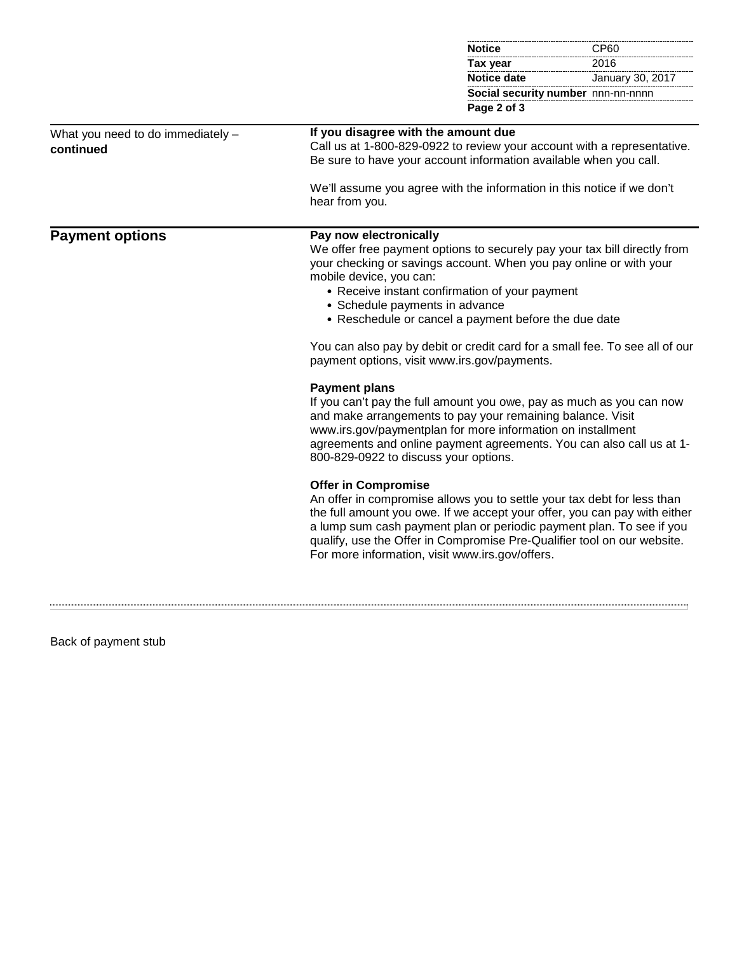|                                                |                                                                                                                                                                                                                                                                                                                                                                                                                                                                                 | <b>Notice</b>                                                                                                                                                                                                                                                             | CP60                               |
|------------------------------------------------|---------------------------------------------------------------------------------------------------------------------------------------------------------------------------------------------------------------------------------------------------------------------------------------------------------------------------------------------------------------------------------------------------------------------------------------------------------------------------------|---------------------------------------------------------------------------------------------------------------------------------------------------------------------------------------------------------------------------------------------------------------------------|------------------------------------|
|                                                |                                                                                                                                                                                                                                                                                                                                                                                                                                                                                 | Tax year                                                                                                                                                                                                                                                                  | 2016                               |
|                                                |                                                                                                                                                                                                                                                                                                                                                                                                                                                                                 | <b>Notice date</b>                                                                                                                                                                                                                                                        | January 30, 2017                   |
|                                                |                                                                                                                                                                                                                                                                                                                                                                                                                                                                                 |                                                                                                                                                                                                                                                                           | Social security number nnn-nn-nnnn |
|                                                |                                                                                                                                                                                                                                                                                                                                                                                                                                                                                 | Page 2 of 3                                                                                                                                                                                                                                                               |                                    |
| What you need to do immediately -<br>continued | If you disagree with the amount due<br>Call us at 1-800-829-0922 to review your account with a representative.<br>Be sure to have your account information available when you call.<br>We'll assume you agree with the information in this notice if we don't                                                                                                                                                                                                                   |                                                                                                                                                                                                                                                                           |                                    |
|                                                | hear from you.                                                                                                                                                                                                                                                                                                                                                                                                                                                                  |                                                                                                                                                                                                                                                                           |                                    |
| <b>Payment options</b>                         | Pay now electronically<br>We offer free payment options to securely pay your tax bill directly from<br>your checking or savings account. When you pay online or with your<br>mobile device, you can:<br>• Receive instant confirmation of your payment<br>• Schedule payments in advance<br>• Reschedule or cancel a payment before the due date<br>You can also pay by debit or credit card for a small fee. To see all of our<br>payment options, visit www.irs.gov/payments. |                                                                                                                                                                                                                                                                           |                                    |
|                                                | <b>Payment plans</b><br>800-829-0922 to discuss your options.                                                                                                                                                                                                                                                                                                                                                                                                                   | If you can't pay the full amount you owe, pay as much as you can now<br>and make arrangements to pay your remaining balance. Visit<br>www.irs.gov/paymentplan for more information on installment<br>agreements and online payment agreements. You can also call us at 1- |                                    |
|                                                | <b>Offer in Compromise</b><br>An offer in compromise allows you to settle your tax debt for less than<br>the full amount you owe. If we accept your offer, you can pay with either<br>a lump sum cash payment plan or periodic payment plan. To see if you<br>qualify, use the Offer in Compromise Pre-Qualifier tool on our website.<br>For more information, visit www.irs.gov/offers.                                                                                        |                                                                                                                                                                                                                                                                           |                                    |
|                                                |                                                                                                                                                                                                                                                                                                                                                                                                                                                                                 |                                                                                                                                                                                                                                                                           |                                    |

Back of payment stub